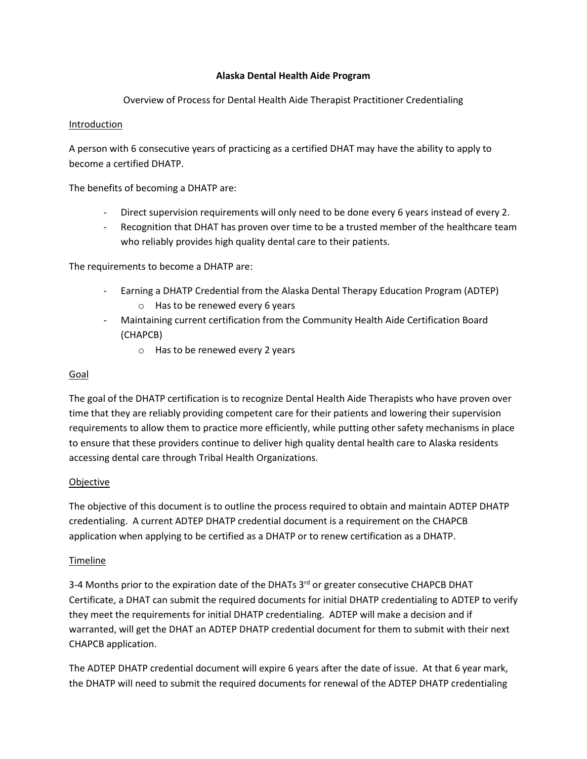## **Alaska Dental Health Aide Program**

Overview of Process for Dental Health Aide Therapist Practitioner Credentialing

### **Introduction**

A person with 6 consecutive years of practicing as a certified DHAT may have the ability to apply to become a certified DHATP.

The benefits of becoming a DHATP are:

- Direct supervision requirements will only need to be done every 6 years instead of every 2.
- Recognition that DHAT has proven over time to be a trusted member of the healthcare team who reliably provides high quality dental care to their patients.

The requirements to become a DHATP are:

- Earning a DHATP Credential from the Alaska Dental Therapy Education Program (ADTEP)
	- o Has to be renewed every 6 years
- Maintaining current certification from the Community Health Aide Certification Board (CHAPCB)
	- o Has to be renewed every 2 years

### Goal

The goal of the DHATP certification is to recognize Dental Health Aide Therapists who have proven over time that they are reliably providing competent care for their patients and lowering their supervision requirements to allow them to practice more efficiently, while putting other safety mechanisms in place to ensure that these providers continue to deliver high quality dental health care to Alaska residents accessing dental care through Tribal Health Organizations.

### Objective

The objective of this document is to outline the process required to obtain and maintain ADTEP DHATP credentialing. A current ADTEP DHATP credential document is a requirement on the CHAPCB application when applying to be certified as a DHATP or to renew certification as a DHATP.

### Timeline

3-4 Months prior to the expiration date of the DHATs 3<sup>rd</sup> or greater consecutive CHAPCB DHAT Certificate, a DHAT can submit the required documents for initial DHATP credentialing to ADTEP to verify they meet the requirements for initial DHATP credentialing. ADTEP will make a decision and if warranted, will get the DHAT an ADTEP DHATP credential document for them to submit with their next CHAPCB application.

The ADTEP DHATP credential document will expire 6 years after the date of issue. At that 6 year mark, the DHATP will need to submit the required documents for renewal of the ADTEP DHATP credentialing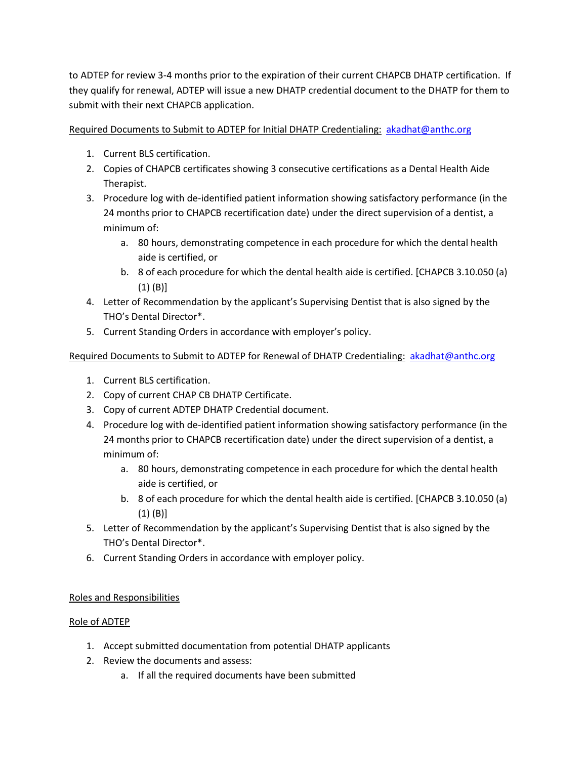to ADTEP for review 3-4 months prior to the expiration of their current CHAPCB DHATP certification. If they qualify for renewal, ADTEP will issue a new DHATP credential document to the DHATP for them to submit with their next CHAPCB application.

Required Documents to Submit to ADTEP for Initial DHATP Credentialing: [akadhat@anthc.org](mailto:akadhat@anthc.org)

- 1. Current BLS certification.
- 2. Copies of CHAPCB certificates showing 3 consecutive certifications as a Dental Health Aide Therapist.
- 3. Procedure log with de-identified patient information showing satisfactory performance (in the 24 months prior to CHAPCB recertification date) under the direct supervision of a dentist, a minimum of:
	- a. 80 hours, demonstrating competence in each procedure for which the dental health aide is certified, or
	- b. 8 of each procedure for which the dental health aide is certified. [CHAPCB 3.10.050 (a) (1) (B)]
- 4. Letter of Recommendation by the applicant's Supervising Dentist that is also signed by the THO's Dental Director\*.
- 5. Current Standing Orders in accordance with employer's policy.

## Required Documents to Submit to ADTEP for Renewal of DHATP Credentialing: [akadhat@anthc.org](mailto:akadhat@anthc.org)

- 1. Current BLS certification.
- 2. Copy of current CHAP CB DHATP Certificate.
- 3. Copy of current ADTEP DHATP Credential document.
- 4. Procedure log with de-identified patient information showing satisfactory performance (in the 24 months prior to CHAPCB recertification date) under the direct supervision of a dentist, a minimum of:
	- a. 80 hours, demonstrating competence in each procedure for which the dental health aide is certified, or
	- b. 8 of each procedure for which the dental health aide is certified. [CHAPCB 3.10.050 (a) (1) (B)]
- 5. Letter of Recommendation by the applicant's Supervising Dentist that is also signed by the THO's Dental Director\*.
- 6. Current Standing Orders in accordance with employer policy.

# Roles and Responsibilities

## Role of ADTEP

- 1. Accept submitted documentation from potential DHATP applicants
- 2. Review the documents and assess:
	- a. If all the required documents have been submitted